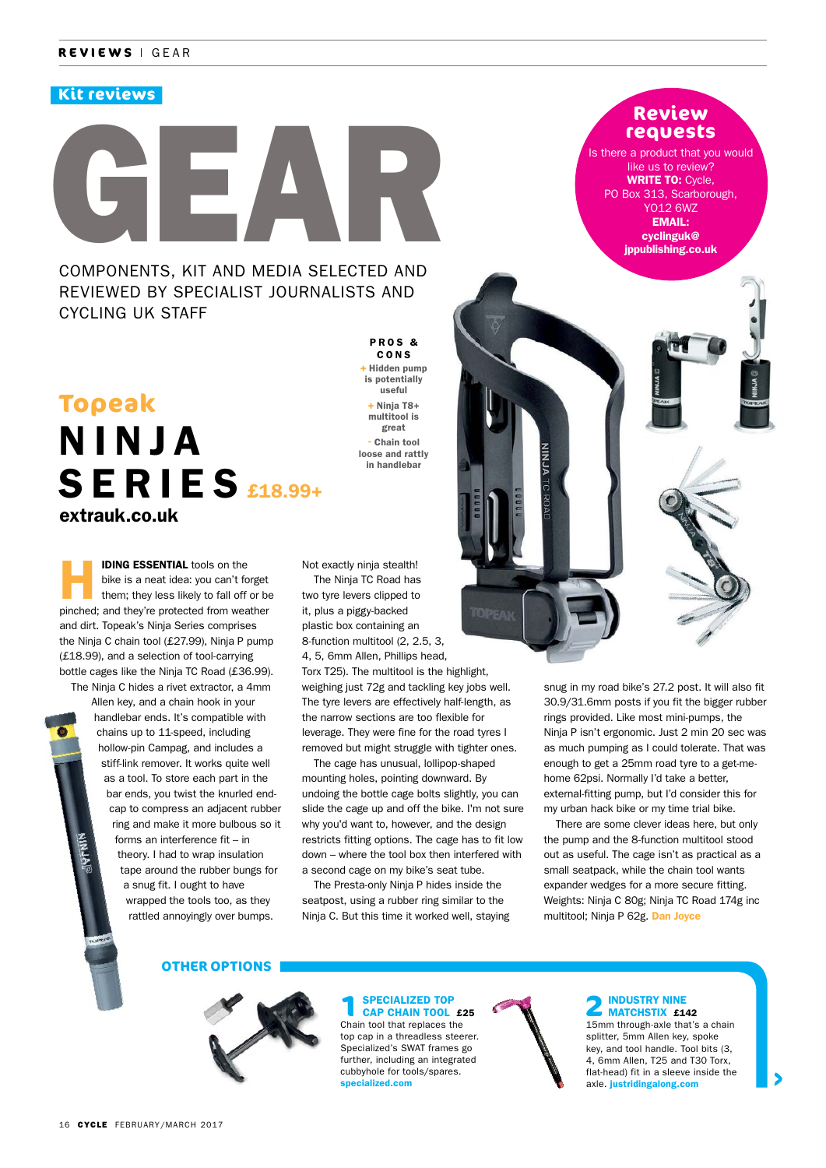# **Kit reviews**

# GEAR COMPONENTS, KIT AND MEDIA SELECTED AND REVIEWED BY SPECIALIST JOURNALISTS AND CYCLING UK STAFF

# N I N J A  $S$ ERIES  $E$ 18.99+ **Topeak** extrauk.co.uk

**IDING ESSENTIAL** tools on the bike is a neat idea: you can't forget them; they less likely to fall off or be bike is a neat idea: you can't forget pinched; and they're protected from weather and dirt. Topeak's Ninja Series comprises the Ninja C chain tool (£27.99), Ninja P pump (£18.99), and a selection of tool-carrying bottle cages like the Ninja TC Road (£36.99). The Ninja C hides a rivet extractor, a 4mm

Allen key, and a chain hook in your handlebar ends. It's compatible with chains up to 11-speed, including hollow-pin Campag, and includes a stiff-link remover. It works quite well as a tool. To store each part in the bar ends, you twist the knurled endcap to compress an adjacent rubber ring and make it more bulbous so it forms an interference fit – in theory. I had to wrap insulation tape around the rubber bungs for a snug fit. I ought to have wrapped the tools too, as they rattled annoyingly over bumps.

Not exactly ninja stealth! The Ninja TC Road has two tyre levers clipped to it, plus a piggy-backed plastic box containing an 8-function multitool (2, 2.5, 3, 4, 5, 6mm Allen, Phillips head,

P R O S & CONS **+** Hidden pump is potentially useful **+** Ninja T8+ multitool is great **-** Chain tool loose and rattly in handlebar

Torx T25). The multitool is the highlight, weighing just 72g and tackling key jobs well. The tyre levers are effectively half-length, as the narrow sections are too flexible for leverage. They were fine for the road tyres I removed but might struggle with tighter ones.

The cage has unusual, lollipop-shaped mounting holes, pointing downward. By undoing the bottle cage bolts slightly, you can slide the cage up and off the bike. I'm not sure why you'd want to, however, and the design restricts fitting options. The cage has to fit low down – where the tool box then interfered with a second cage on my bike's seat tube.

The Presta-only Ninja P hides inside the seatpost, using a rubber ring similar to the Ninja C. But this time it worked well, staying

# **Review requests**

Is there a product that you would like us to review? WRITE TO: Cycle. PO Box 313, Scarborough, YO12 6WZ EMAIL: cyclinguk@ jppublishing.co.uk



snug in my road bike's 27.2 post. It will also fit 30.9/31.6mm posts if you fit the bigger rubber rings provided. Like most mini-pumps, the Ninja P isn't ergonomic. Just 2 min 20 sec was as much pumping as I could tolerate. That was enough to get a 25mm road tyre to a get-mehome 62psi. Normally I'd take a better, external-fitting pump, but I'd consider this for my urban hack bike or my time trial bike.

There are some clever ideas here, but only the pump and the 8-function multitool stood out as useful. The cage isn't as practical as a small seatpack, while the chain tool wants expander wedges for a more secure fitting. Weights: Ninja C 80g; Ninja TC Road 174g inc multitool; Ninja P 62g. Dan Joyce

## **OTHER OPTIONS**

**1**SPECIALIZED TOP<br>CAP CHAIN TOOL £25 Chain tool that replaces the top cap in a threadless steerer. Specialized's SWAT frames go further, including an integrated cubbyhole for tools/spares. specialized.com



# **2** INDUSTRY NINE<br>MATCHSTIX £142

15mm through-axle that's a chain splitter, 5mm Allen key, spoke key, and tool handle. Tool bits (3, 4, 6mm Allen, T25 and T30 Torx, flat-head) fit in a sleeve inside the axle. justridingalong.com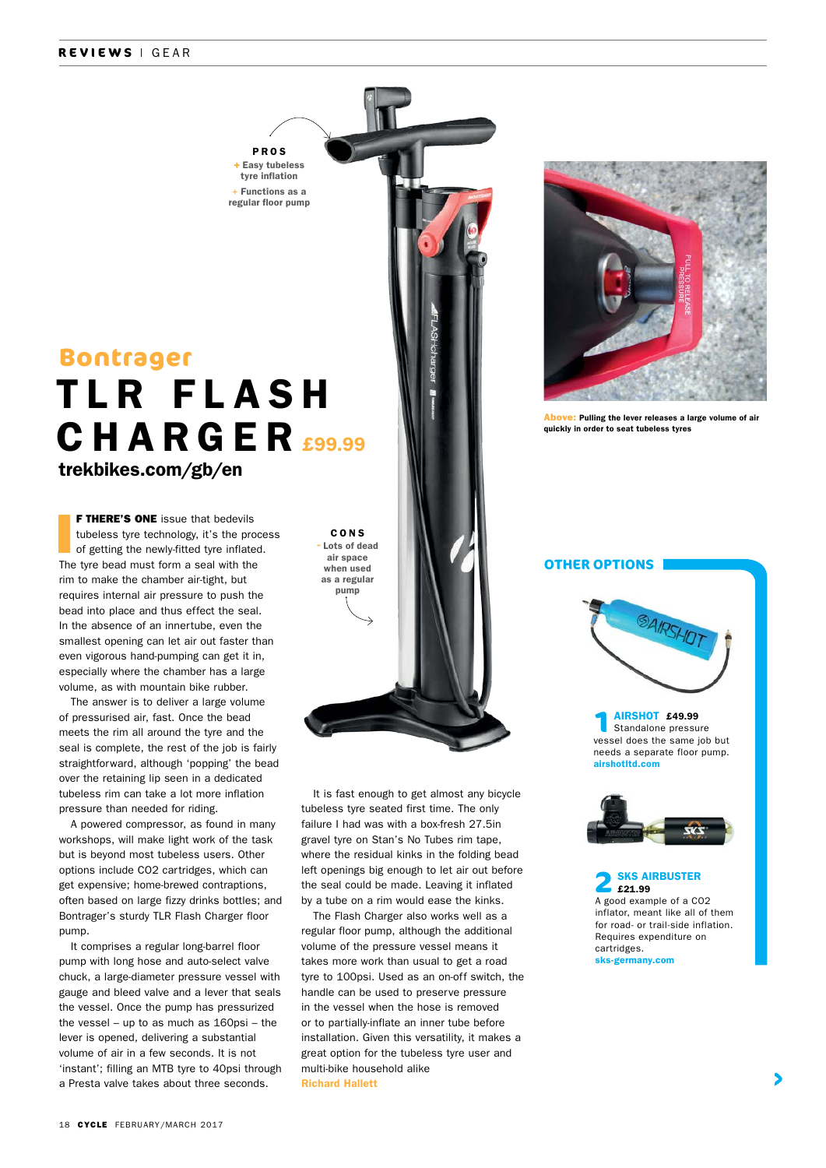### **REVIEWS** | GEAR

trekbikes.com/gb/en **TLR FLASH** CHARGER **Bontrager** 

PROS **+** Easy tubeless tyre inflation + Functions as a regular floor pump

 I **F THERE'S ONE** issue that bedevils tubeless tyre technology, it's the process of getting the newly-fitted tyre inflated. The tyre bead must form a seal with the rim to make the chamber air-tight, but requires internal air pressure to push the bead into place and thus effect the seal. In the absence of an innertube, even the smallest opening can let air out faster than even vigorous hand-pumping can get it in, especially where the chamber has a large volume, as with mountain bike rubber.

The answer is to deliver a large volume of pressurised air, fast. Once the bead meets the rim all around the tyre and the seal is complete, the rest of the job is fairly straightforward, although 'popping' the bead over the retaining lip seen in a dedicated tubeless rim can take a lot more inflation pressure than needed for riding.

A powered compressor, as found in many workshops, will make light work of the task but is beyond most tubeless users. Other options include CO2 cartridges, which can get expensive; home-brewed contraptions, often based on large fizzy drinks bottles; and Bontrager's sturdy TLR Flash Charger floor pump.

It comprises a regular long-barrel floor pump with long hose and auto-select valve chuck, a large-diameter pressure vessel with gauge and bleed valve and a lever that seals the vessel. Once the pump has pressurized the vessel – up to as much as 160psi – the lever is opened, delivering a substantial volume of air in a few seconds. It is not 'instant'; filling an MTB tyre to 40psi through a Presta valve takes about three seconds.



Above: Pulling the lever releases a large volume of air quickly in order to seat tubeless tyres



It is fast enough to get almost any bicycle tubeless tyre seated first time. The only failure I had was with a box-fresh 27.5in gravel tyre on Stan's No Tubes rim tape, where the residual kinks in the folding bead left openings big enough to let air out before the seal could be made. Leaving it inflated by a tube on a rim would ease the kinks.

The Flash Charger also works well as a regular floor pump, although the additional volume of the pressure vessel means it takes more work than usual to get a road tyre to 100psi. Used as an on-off switch, the handle can be used to preserve pressure in the vessel when the hose is removed or to partially-inflate an inner tube before installation. Given this versatility, it makes a great option for the tubeless tyre user and multi-bike household alike Richard Hallett

SAIRSHO

**OTHER OPTIONS**

**1** AIRSHOT £49.99<br>Standalone pressure vessel does the same job but needs a separate floor pump. airshotltd.com



**2** SKS AIRBUSTER £21.99 A good example of a CO2 inflator, meant like all of them for road- or trail-side inflation. Requires expenditure on cartridges. sks-germany.com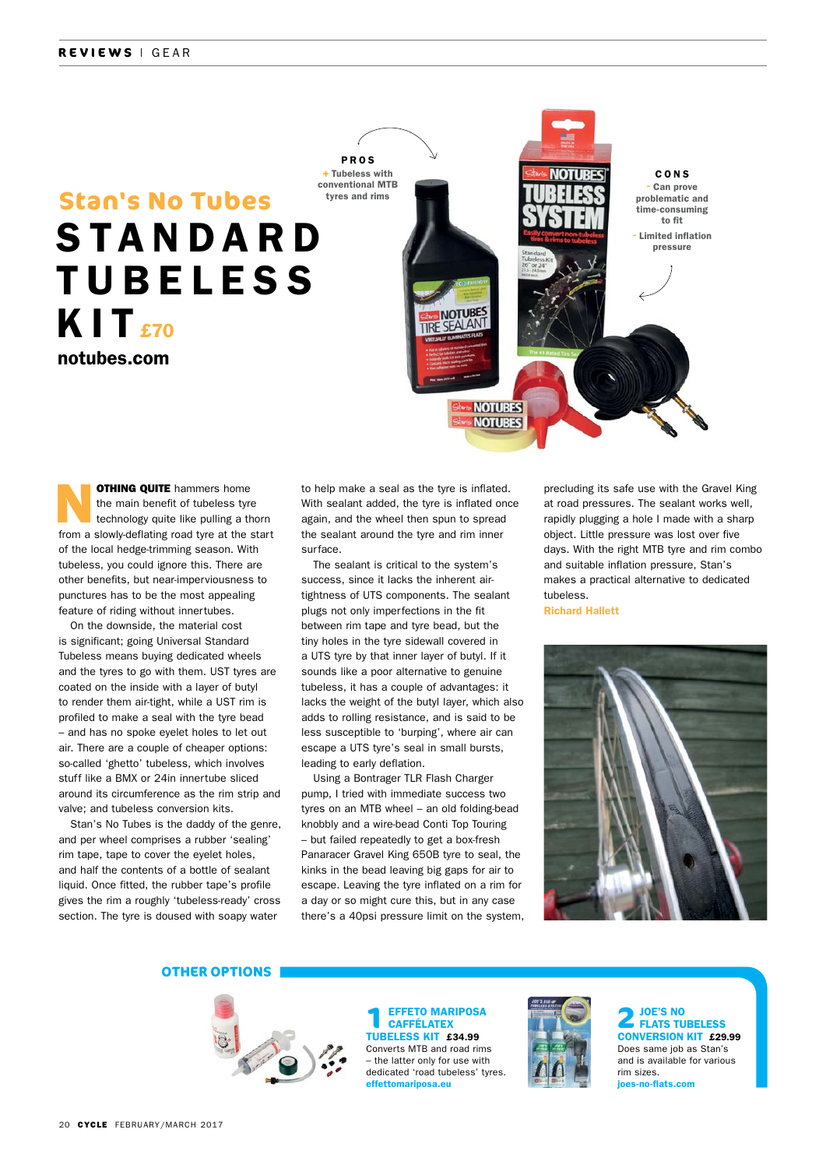# notubes.com S TA N D A R D **TUBELESS**  $KIT<sub>570</sub>$ **Stan's No Tubes**



**OTHING QUITE** hammers home<br>the main benefit of tubeless tyre<br>technology quite like pulling a thorn the main benefit of tubeless tyre from a slowly-deflating road tyre at the start of the local hedge-trimming season. With tubeless, you could ignore this. There are other benefits, but near-imperviousness to punctures has to be the most appealing feature of riding without innertubes.

On the downside, the material cost is significant; going Universal Standard Tubeless means buying dedicated wheels and the tyres to go with them. UST tyres are coated on the inside with a layer of butyl to render them air-tight, while a UST rim is profiled to make a seal with the tyre bead – and has no spoke eyelet holes to let out air. There are a couple of cheaper options: so-called 'ghetto' tubeless, which involves stuff like a BMX or 24in innertube sliced around its circumference as the rim strip and valve; and tubeless conversion kits.

Stan's No Tubes is the daddy of the genre, and per wheel comprises a rubber 'sealing' rim tape, tape to cover the eyelet holes, and half the contents of a bottle of sealant liquid. Once fitted, the rubber tape's profile gives the rim a roughly 'tubeless-ready' cross section. The tyre is doused with soapy water

to help make a seal as the tyre is inflated. With sealant added, the tyre is inflated once again, and the wheel then spun to spread the sealant around the tyre and rim inner surface.

The sealant is critical to the system's success, since it lacks the inherent airtightness of UTS components. The sealant plugs not only imperfections in the fit between rim tape and tyre bead, but the tiny holes in the tyre sidewall covered in a UTS tyre by that inner layer of butyl. If it sounds like a poor alternative to genuine tubeless, it has a couple of advantages: it lacks the weight of the butyl layer, which also adds to rolling resistance, and is said to be less susceptible to 'burping', where air can escape a UTS tyre's seal in small bursts, leading to early deflation.

Using a Bontrager TLR Flash Charger pump, I tried with immediate success two tyres on an MTB wheel – an old folding-bead knobbly and a wire-bead Conti Top Touring – but failed repeatedly to get a box-fresh Panaracer Gravel King 650B tyre to seal, the kinks in the bead leaving big gaps for air to escape. Leaving the tyre inflated on a rim for a day or so might cure this, but in any case there's a 40psi pressure limit on the system, precluding its safe use with the Gravel King at road pressures. The sealant works well, rapidly plugging a hole I made with a sharp object. Little pressure was lost over five days. With the right MTB tyre and rim combo and suitable inflation pressure, Stan's makes a practical alternative to dedicated tubeless.

Richard Hallett



#### **OTHER OPTIONS**



**1**EFFETO MARIPOSA **CAFFÉLATEX** TUBELESS KIT £34.99 Converts MTB and road rims – the latter only for use with dedicated 'road tubeless' tyres. effettomariposa.eu



**2** JOE'S NO<br>
FLATS TUBELESS CONVERSION KIT £29.99 Does same job as Stan's and is available for various rim sizes. joes-no-flats.com